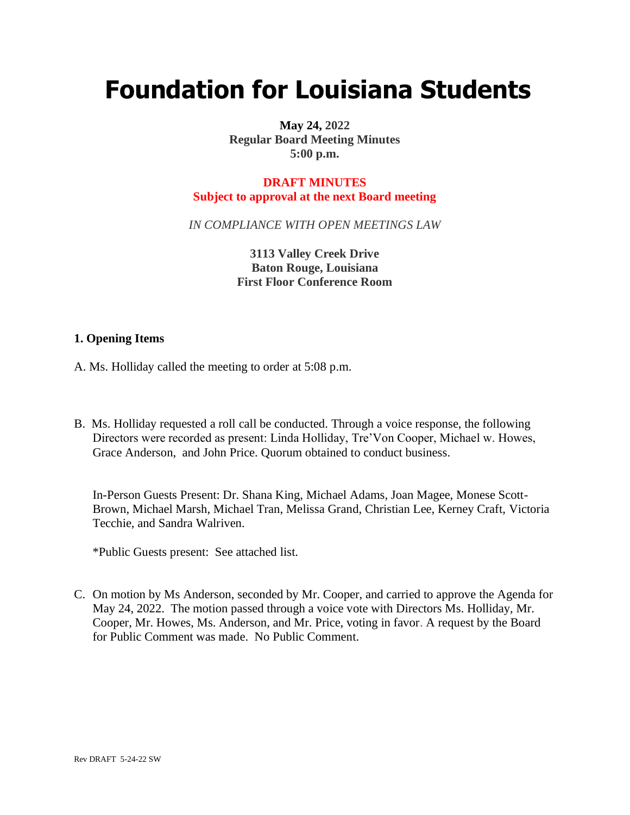# **Foundation for Louisiana Students**

**May 24, 2022 Regular Board Meeting Minutes 5:00 p.m.**

# **DRAFT MINUTES Subject to approval at the next Board meeting**

*IN COMPLIANCE WITH OPEN MEETINGS LAW*

**3113 Valley Creek Drive Baton Rouge, Louisiana First Floor Conference Room**

### **1. Opening Items**

- A. Ms. Holliday called the meeting to order at 5:08 p.m.
- B. Ms. Holliday requested a roll call be conducted. Through a voice response, the following Directors were recorded as present: Linda Holliday, Tre'Von Cooper, Michael w. Howes, Grace Anderson, and John Price. Quorum obtained to conduct business.

In-Person Guests Present: Dr. Shana King, Michael Adams, Joan Magee, Monese Scott-Brown, Michael Marsh, Michael Tran, Melissa Grand, Christian Lee, Kerney Craft, Victoria Tecchie, and Sandra Walriven.

\*Public Guests present: See attached list.

C. On motion by Ms Anderson, seconded by Mr. Cooper, and carried to approve the Agenda for May 24, 2022. The motion passed through a voice vote with Directors Ms. Holliday, Mr. Cooper, Mr. Howes, Ms. Anderson, and Mr. Price, voting in favor. A request by the Board for Public Comment was made. No Public Comment.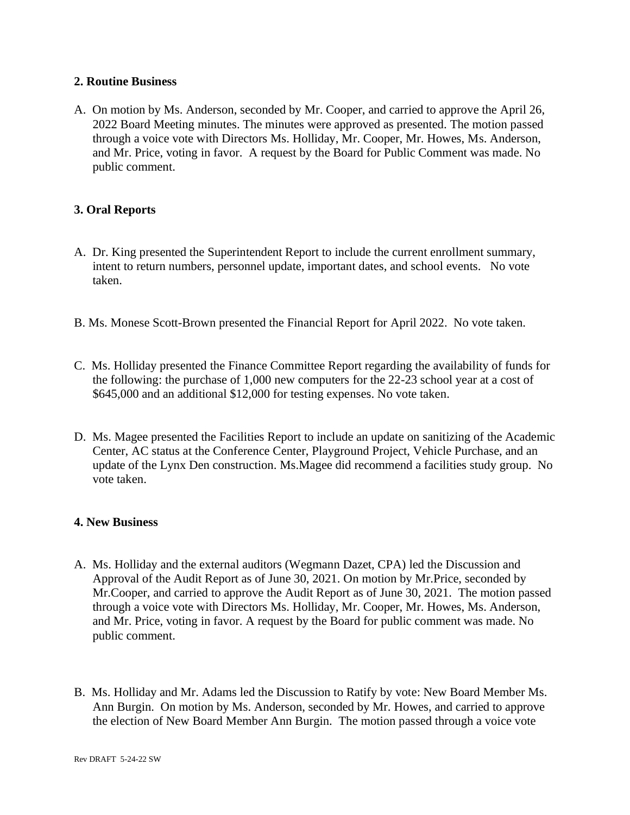### **2. Routine Business**

A. On motion by Ms. Anderson, seconded by Mr. Cooper, and carried to approve the April 26, 2022 Board Meeting minutes. The minutes were approved as presented. The motion passed through a voice vote with Directors Ms. Holliday, Mr. Cooper, Mr. Howes, Ms. Anderson, and Mr. Price, voting in favor. A request by the Board for Public Comment was made. No public comment.

# **3. Oral Reports**

- A. Dr. King presented the Superintendent Report to include the current enrollment summary, intent to return numbers, personnel update, important dates, and school events. No vote taken.
- B. Ms. Monese Scott-Brown presented the Financial Report for April 2022. No vote taken.
- C. Ms. Holliday presented the Finance Committee Report regarding the availability of funds for the following: the purchase of 1,000 new computers for the 22-23 school year at a cost of \$645,000 and an additional \$12,000 for testing expenses. No vote taken.
- D. Ms. Magee presented the Facilities Report to include an update on sanitizing of the Academic Center, AC status at the Conference Center, Playground Project, Vehicle Purchase, and an update of the Lynx Den construction. Ms.Magee did recommend a facilities study group. No vote taken.

#### **4. New Business**

- A. Ms. Holliday and the external auditors (Wegmann Dazet, CPA) led the Discussion and Approval of the Audit Report as of June 30, 2021. On motion by Mr.Price, seconded by Mr.Cooper, and carried to approve the Audit Report as of June 30, 2021. The motion passed through a voice vote with Directors Ms. Holliday, Mr. Cooper, Mr. Howes, Ms. Anderson, and Mr. Price, voting in favor. A request by the Board for public comment was made. No public comment.
- B. Ms. Holliday and Mr. Adams led the Discussion to Ratify by vote: New Board Member Ms. Ann Burgin. On motion by Ms. Anderson, seconded by Mr. Howes, and carried to approve the election of New Board Member Ann Burgin. The motion passed through a voice vote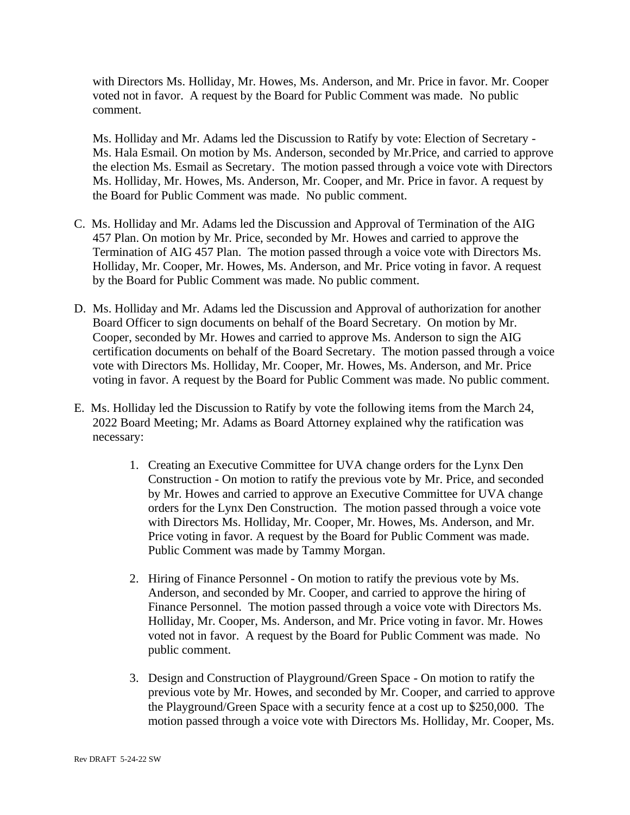with Directors Ms. Holliday, Mr. Howes, Ms. Anderson, and Mr. Price in favor. Mr. Cooper voted not in favor. A request by the Board for Public Comment was made. No public comment.

Ms. Holliday and Mr. Adams led the Discussion to Ratify by vote: Election of Secretary - Ms. Hala Esmail. On motion by Ms. Anderson, seconded by Mr.Price, and carried to approve the election Ms. Esmail as Secretary. The motion passed through a voice vote with Directors Ms. Holliday, Mr. Howes, Ms. Anderson, Mr. Cooper, and Mr. Price in favor. A request by the Board for Public Comment was made. No public comment.

- C. Ms. Holliday and Mr. Adams led the Discussion and Approval of Termination of the AIG 457 Plan. On motion by Mr. Price, seconded by Mr. Howes and carried to approve the Termination of AIG 457 Plan. The motion passed through a voice vote with Directors Ms. Holliday, Mr. Cooper, Mr. Howes, Ms. Anderson, and Mr. Price voting in favor. A request by the Board for Public Comment was made. No public comment.
- D. Ms. Holliday and Mr. Adams led the Discussion and Approval of authorization for another Board Officer to sign documents on behalf of the Board Secretary. On motion by Mr. Cooper, seconded by Mr. Howes and carried to approve Ms. Anderson to sign the AIG certification documents on behalf of the Board Secretary. The motion passed through a voice vote with Directors Ms. Holliday, Mr. Cooper, Mr. Howes, Ms. Anderson, and Mr. Price voting in favor. A request by the Board for Public Comment was made. No public comment.
- E. Ms. Holliday led the Discussion to Ratify by vote the following items from the March 24, 2022 Board Meeting; Mr. Adams as Board Attorney explained why the ratification was necessary:
	- 1. Creating an Executive Committee for UVA change orders for the Lynx Den Construction - On motion to ratify the previous vote by Mr. Price, and seconded by Mr. Howes and carried to approve an Executive Committee for UVA change orders for the Lynx Den Construction. The motion passed through a voice vote with Directors Ms. Holliday, Mr. Cooper, Mr. Howes, Ms. Anderson, and Mr. Price voting in favor. A request by the Board for Public Comment was made. Public Comment was made by Tammy Morgan.
	- 2. Hiring of Finance Personnel On motion to ratify the previous vote by Ms. Anderson, and seconded by Mr. Cooper, and carried to approve the hiring of Finance Personnel. The motion passed through a voice vote with Directors Ms. Holliday, Mr. Cooper, Ms. Anderson, and Mr. Price voting in favor. Mr. Howes voted not in favor. A request by the Board for Public Comment was made. No public comment.
	- 3. Design and Construction of Playground/Green Space On motion to ratify the previous vote by Mr. Howes, and seconded by Mr. Cooper, and carried to approve the Playground/Green Space with a security fence at a cost up to \$250,000. The motion passed through a voice vote with Directors Ms. Holliday, Mr. Cooper, Ms.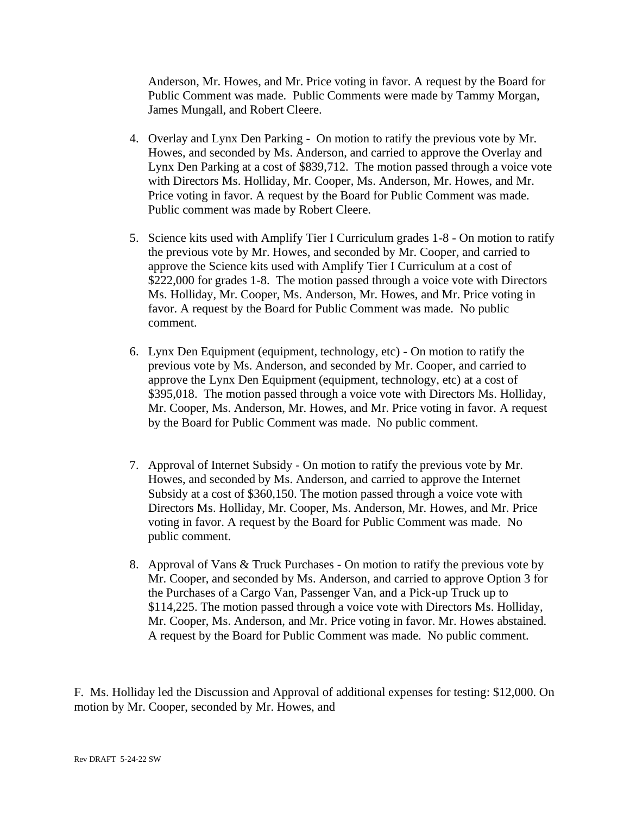Anderson, Mr. Howes, and Mr. Price voting in favor. A request by the Board for Public Comment was made. Public Comments were made by Tammy Morgan, James Mungall, and Robert Cleere.

- 4. Overlay and Lynx Den Parking On motion to ratify the previous vote by Mr. Howes, and seconded by Ms. Anderson, and carried to approve the Overlay and Lynx Den Parking at a cost of \$839,712. The motion passed through a voice vote with Directors Ms. Holliday, Mr. Cooper, Ms. Anderson, Mr. Howes, and Mr. Price voting in favor. A request by the Board for Public Comment was made. Public comment was made by Robert Cleere.
- 5. Science kits used with Amplify Tier I Curriculum grades 1-8 On motion to ratify the previous vote by Mr. Howes, and seconded by Mr. Cooper, and carried to approve the Science kits used with Amplify Tier I Curriculum at a cost of \$222,000 for grades 1-8. The motion passed through a voice vote with Directors Ms. Holliday, Mr. Cooper, Ms. Anderson, Mr. Howes, and Mr. Price voting in favor. A request by the Board for Public Comment was made. No public comment.
- 6. Lynx Den Equipment (equipment, technology, etc) On motion to ratify the previous vote by Ms. Anderson, and seconded by Mr. Cooper, and carried to approve the Lynx Den Equipment (equipment, technology, etc) at a cost of \$395,018. The motion passed through a voice vote with Directors Ms. Holliday, Mr. Cooper, Ms. Anderson, Mr. Howes, and Mr. Price voting in favor. A request by the Board for Public Comment was made. No public comment.
- 7. Approval of Internet Subsidy On motion to ratify the previous vote by Mr. Howes, and seconded by Ms. Anderson, and carried to approve the Internet Subsidy at a cost of \$360,150. The motion passed through a voice vote with Directors Ms. Holliday, Mr. Cooper, Ms. Anderson, Mr. Howes, and Mr. Price voting in favor. A request by the Board for Public Comment was made. No public comment.
- 8. Approval of Vans & Truck Purchases On motion to ratify the previous vote by Mr. Cooper, and seconded by Ms. Anderson, and carried to approve Option 3 for the Purchases of a Cargo Van, Passenger Van, and a Pick-up Truck up to \$114,225. The motion passed through a voice vote with Directors Ms. Holliday, Mr. Cooper, Ms. Anderson, and Mr. Price voting in favor. Mr. Howes abstained. A request by the Board for Public Comment was made. No public comment.

F. Ms. Holliday led the Discussion and Approval of additional expenses for testing: \$12,000. On motion by Mr. Cooper, seconded by Mr. Howes, and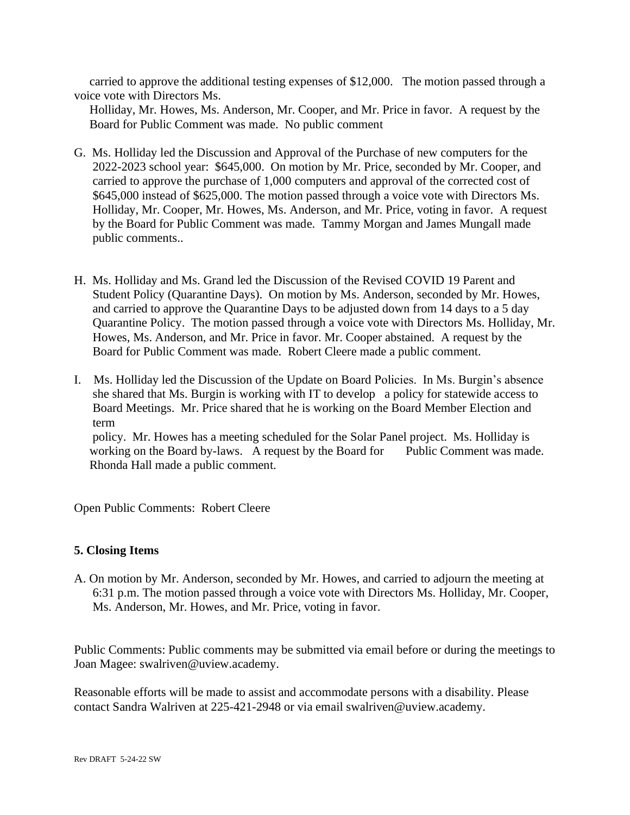carried to approve the additional testing expenses of \$12,000. The motion passed through a voice vote with Directors Ms.

 Holliday, Mr. Howes, Ms. Anderson, Mr. Cooper, and Mr. Price in favor. A request by the Board for Public Comment was made. No public comment

- G. Ms. Holliday led the Discussion and Approval of the Purchase of new computers for the 2022-2023 school year: \$645,000. On motion by Mr. Price, seconded by Mr. Cooper, and carried to approve the purchase of 1,000 computers and approval of the corrected cost of \$645,000 instead of \$625,000. The motion passed through a voice vote with Directors Ms. Holliday, Mr. Cooper, Mr. Howes, Ms. Anderson, and Mr. Price, voting in favor. A request by the Board for Public Comment was made. Tammy Morgan and James Mungall made public comments..
- H. Ms. Holliday and Ms. Grand led the Discussion of the Revised COVID 19 Parent and Student Policy (Quarantine Days). On motion by Ms. Anderson, seconded by Mr. Howes, and carried to approve the Quarantine Days to be adjusted down from 14 days to a 5 day Quarantine Policy. The motion passed through a voice vote with Directors Ms. Holliday, Mr. Howes, Ms. Anderson, and Mr. Price in favor. Mr. Cooper abstained. A request by the Board for Public Comment was made. Robert Cleere made a public comment.
- I. Ms. Holliday led the Discussion of the Update on Board Policies. In Ms. Burgin's absence she shared that Ms. Burgin is working with IT to develop a policy for statewide access to Board Meetings. Mr. Price shared that he is working on the Board Member Election and term policy. Mr. Howes has a meeting scheduled for the Solar Panel project. Ms. Holliday is working on the Board by-laws. A request by the Board for Public Comment was made.

Rhonda Hall made a public comment.

Open Public Comments: Robert Cleere

### **5. Closing Items**

A. On motion by Mr. Anderson, seconded by Mr. Howes, and carried to adjourn the meeting at 6:31 p.m. The motion passed through a voice vote with Directors Ms. Holliday, Mr. Cooper, Ms. Anderson, Mr. Howes, and Mr. Price, voting in favor.

Public Comments: Public comments may be submitted via email before or during the meetings to Joan Magee: swalriven@uview.academy.

Reasonable efforts will be made to assist and accommodate persons with a disability. Please contact Sandra Walriven at 225-421-2948 or via email swalriven@uview.academy.